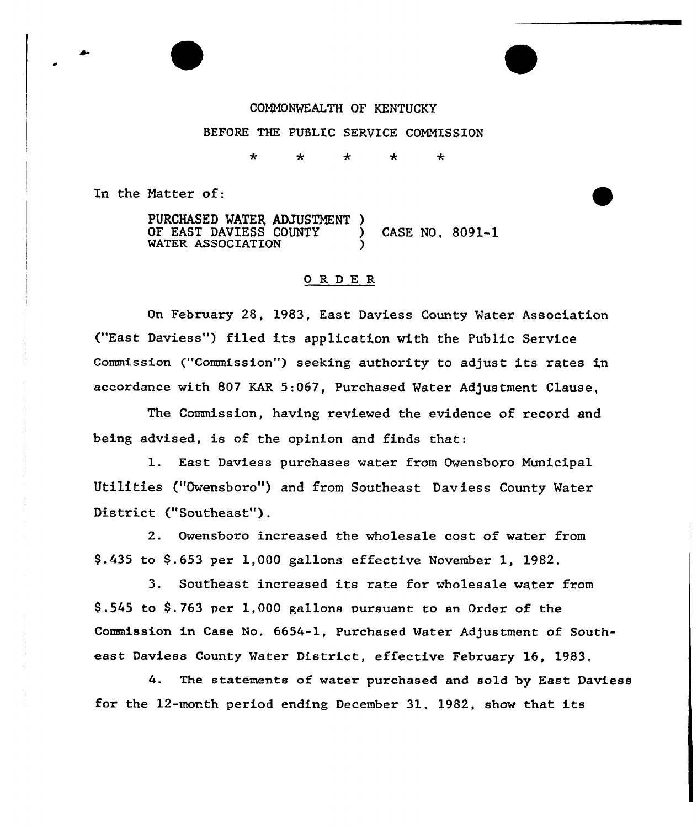CONNONWEALTH OF KENTUCKY BEFORE THE PUBLIC SERVICE COMMISSION

> ÷  $\star$ ∻ ∗ ∗

In the Natter of:

PURCHASED MATER, ADJUSTMENT ) OF EAST DAVIESS COUNTY ) CASE NO, 8091-1 WATER ASSOCIATION

#### OR DE R

On February 28, 1983, East Daviess County Water Association ("East Daviess"} filed its application wi.th the Public Service Commission ("Commission") seeking authority to adjust its rates in accordance with 807 KAR 5;067, Purchased Water Adjustment Clause,

The Commission, having xeviewed the evidence of record and being advised, is of the opinion and finds that:

1. East Daviess purchases water from Owensboro Nunicipal Utilities ("Owensboro"} and from Southeast Daviess County Water District ("Southeast").

2. Owensboro increased the wholesale cost of water from 9.435 to 9.653 per 1,000 gallons effective November 1, 1982,

3. Southeast increased its rate for wholesale water from  $$.545$  to  $$.763$  per 1,000 gallons pursuant to an Order of the Commission in Case No. 6654-1, Purchased Water Adjustment of Southeast Daviess County Water District, effective February 16, 1983.

4. The statements of water purchased and sold by East Daviess for the 12-month period ending December 31, 1982, show that its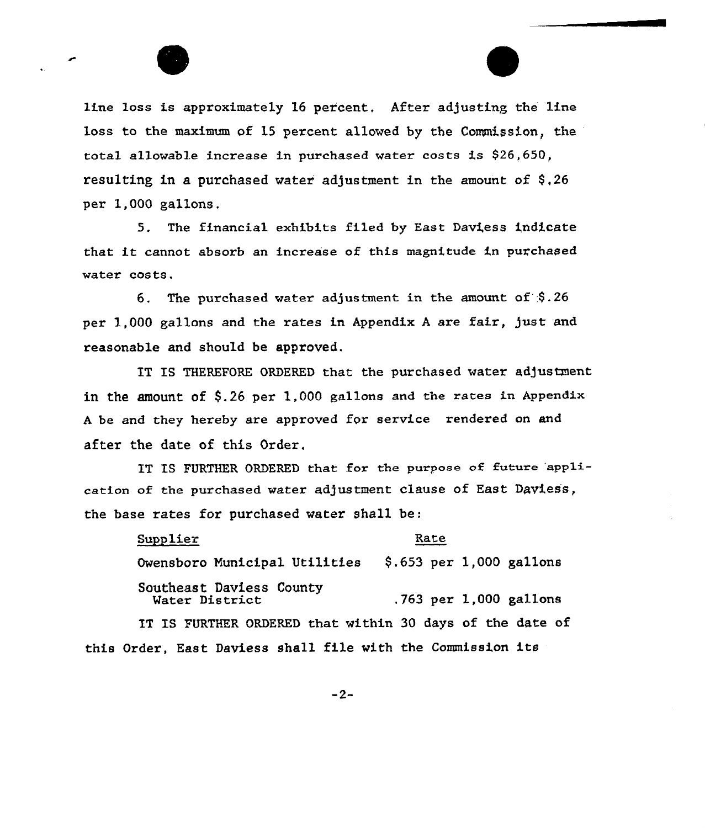line loss is approximately 16 percent, After adjusting the line loss to the maximum of 15 percent allowed by the Commission, the total allowable increase in purchased water costs is \$26,650, resulting in a purchased water adjustment in the amount of  $$,26$ per 1,000 gallons,

5. The financial exhibits filed by East Daviess indicate that it cannot absorb an increase of this magnitude in purchased water costs.

6. The purchased water adjustment in the amount of  $$.26$ per 1,000 gallons and the rates in Appendix A are fair, just and reasonable and should be approved.

IT IS THEREFORE ORDERED that the purchased water adjustment in the amount of  $$.26$  per 1.000 gallons and the rates in Appendix A be and they hereby are approved for service rendered on and after the date of this Oxder,

IT IS FURTHER ORDERED that for the purpose of future 'application of the purchased water adjustment clause of East Daviess, the base rates for purchased water shall be:

Supplier Rate Owensboro Municipal Utilities \$.653 per 1,000 gallons Southeast Daviess County  $.763$  per 1,000 gallons IT IS FURTHER ORDERED that within 30 days of the date of

 $-2-$ 

this Order, East Daviess shall file with the Commission its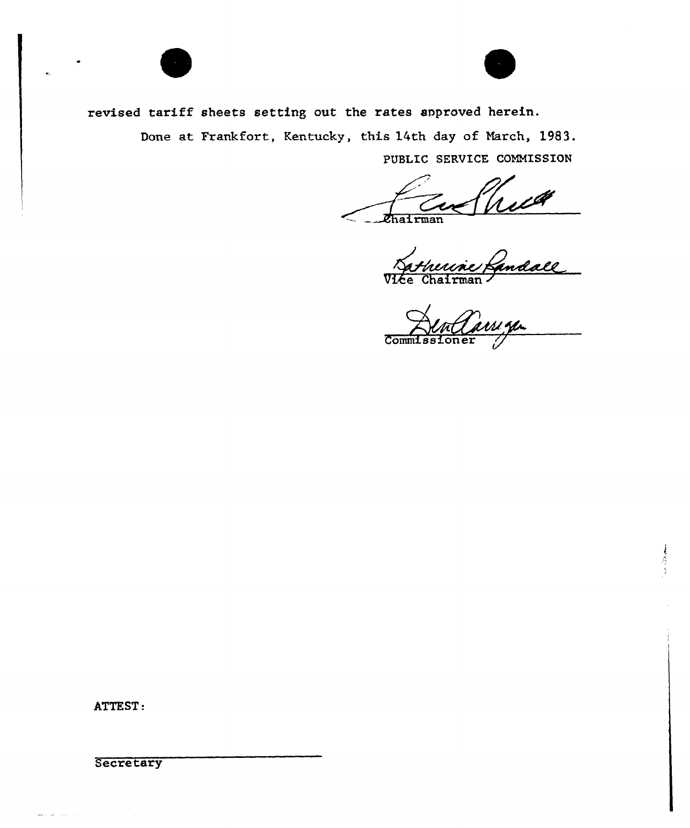

revised tariff sheets setting out the rates approved herein.

Done at Frankfort, Kentucky, this 14th day of March, 1983. PUBLIC SERVICE COMMISSION

:Ll *Chairman* 

andall\_

 $\overline{\text{Comm}}$ 

计符号

ATTEST:

Secretary